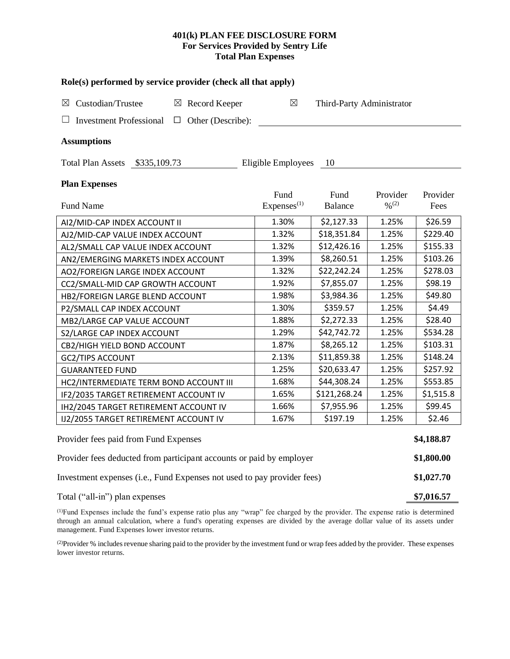# **401(k) PLAN FEE DISCLOSURE FORM For Services Provided by Sentry Life Total Plan Expenses**

| Role(s) performed by service provider (check all that apply)            |                                |                           |                                          |                  |  |  |  |  |
|-------------------------------------------------------------------------|--------------------------------|---------------------------|------------------------------------------|------------------|--|--|--|--|
| Custodian/Trustee<br>$\boxtimes$ Record Keeper<br>$\boxtimes$           | $\boxtimes$                    | Third-Party Administrator |                                          |                  |  |  |  |  |
| <b>Investment Professional</b><br>$\Box$ Other (Describe):<br>Ш         |                                |                           |                                          |                  |  |  |  |  |
| <b>Assumptions</b>                                                      |                                |                           |                                          |                  |  |  |  |  |
| Total Plan Assets \$335,109.73                                          | Eligible Employees             | 10                        |                                          |                  |  |  |  |  |
| <b>Plan Expenses</b>                                                    |                                |                           |                                          |                  |  |  |  |  |
| <b>Fund Name</b>                                                        | Fund<br>Express <sup>(1)</sup> | Fund<br>Balance           | Provider<br>$\frac{0}{2}$ <sup>(2)</sup> | Provider<br>Fees |  |  |  |  |
| AI2/MID-CAP INDEX ACCOUNT II                                            | 1.30%                          | \$2,127.33                | 1.25%                                    | \$26.59          |  |  |  |  |
| AJ2/MID-CAP VALUE INDEX ACCOUNT                                         | 1.32%                          | \$18,351.84               | 1.25%                                    | \$229.40         |  |  |  |  |
| AL2/SMALL CAP VALUE INDEX ACCOUNT                                       | 1.32%                          | \$12,426.16               | 1.25%                                    | \$155.33         |  |  |  |  |
| AN2/EMERGING MARKETS INDEX ACCOUNT                                      | 1.39%                          | \$8,260.51                | 1.25%                                    | \$103.26         |  |  |  |  |
| AO2/FOREIGN LARGE INDEX ACCOUNT                                         | 1.32%                          | \$22,242.24               | 1.25%                                    | \$278.03         |  |  |  |  |
| CC2/SMALL-MID CAP GROWTH ACCOUNT                                        | 1.92%                          | \$7,855.07                | 1.25%                                    | \$98.19          |  |  |  |  |
| HB2/FOREIGN LARGE BLEND ACCOUNT                                         | 1.98%                          | \$3,984.36                | 1.25%                                    | \$49.80          |  |  |  |  |
| P2/SMALL CAP INDEX ACCOUNT                                              | 1.30%                          | \$359.57                  | 1.25%                                    | \$4.49           |  |  |  |  |
| MB2/LARGE CAP VALUE ACCOUNT                                             | 1.88%                          | \$2,272.33                | 1.25%                                    | \$28.40          |  |  |  |  |
| S2/LARGE CAP INDEX ACCOUNT                                              | 1.29%                          | \$42,742.72               | 1.25%                                    | \$534.28         |  |  |  |  |
| CB2/HIGH YIELD BOND ACCOUNT                                             | 1.87%                          | \$8,265.12                | 1.25%                                    | \$103.31         |  |  |  |  |
| <b>GC2/TIPS ACCOUNT</b>                                                 | 2.13%                          | \$11,859.38               | 1.25%                                    | \$148.24         |  |  |  |  |
| <b>GUARANTEED FUND</b>                                                  | 1.25%                          | \$20,633.47               | 1.25%                                    | \$257.92         |  |  |  |  |
| HC2/INTERMEDIATE TERM BOND ACCOUNT III                                  | 1.68%                          | \$44,308.24               | 1.25%                                    | \$553.85         |  |  |  |  |
| IF2/2035 TARGET RETIREMENT ACCOUNT IV                                   | 1.65%                          | \$121,268.24              | 1.25%                                    | \$1,515.8        |  |  |  |  |
| IH2/2045 TARGET RETIREMENT ACCOUNT IV                                   | 1.66%                          | \$7,955.96                | 1.25%                                    | \$99.45          |  |  |  |  |
| IJ2/2055 TARGET RETIREMENT ACCOUNT IV                                   | 1.67%                          | \$197.19                  | 1.25%                                    | \$2.46           |  |  |  |  |
| Provider fees paid from Fund Expenses                                   |                                |                           |                                          |                  |  |  |  |  |
| Provider fees deducted from participant accounts or paid by employer    |                                |                           |                                          |                  |  |  |  |  |
| Investment expenses (i.e., Fund Expenses not used to pay provider fees) |                                |                           |                                          |                  |  |  |  |  |
| Total ("all-in") plan expenses                                          |                                |                           |                                          |                  |  |  |  |  |

(1)Fund Expenses include the fund's expense ratio plus any "wrap" fee charged by the provider. The expense ratio is determined through an annual calculation, where a fund's operating expenses are divided by the average dollar value of its assets under management. Fund Expenses lower investor returns.

(2) Provider % includes revenue sharing paid to the provider by the investment fund or wrap fees added by the provider. These expenses lower investor returns.